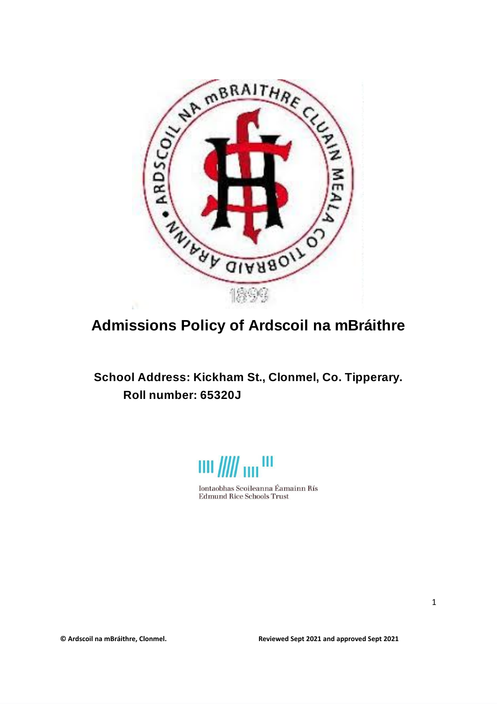

# **Admissions Policy of Ardscoil na mBráithre**

## **School Address: Kickham St., Clonmel, Co. Tipperary. Roll number: 65320J**



Iontaobhas Scoileanna Éamainn Rís **Edmund Rice Schools Trust**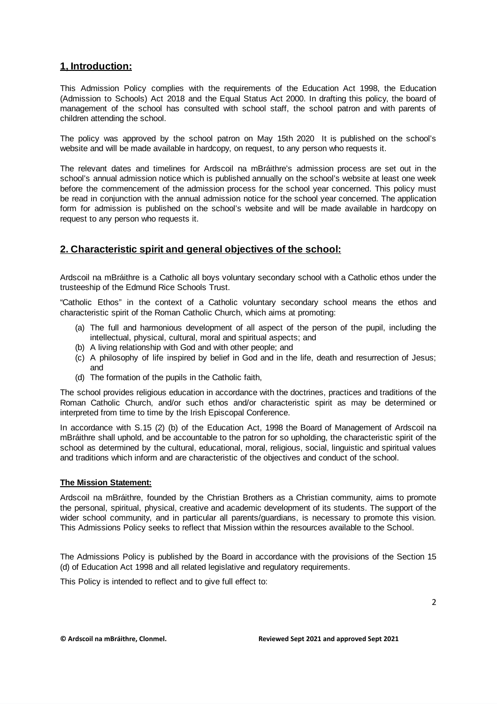## **1, Introduction:**

This Admission Policy complies with the requirements of the Education Act 1998, the Education (Admission to Schools) Act 2018 and the Equal Status Act 2000. In drafting this policy, the board of management of the school has consulted with school staff, the school patron and with parents of children attending the school.

The policy was approved by the school patron on May 15th 2020 It is published on the school's website and will be made available in hardcopy, on request, to any person who requests it.

The relevant dates and timelines for Ardscoil na mBráithre's admission process are set out in the school's annual admission notice which is published annually on the school's website at least one week before the commencement of the admission process for the school year concerned. This policy must be read in conjunction with the annual admission notice for the school year concerned. The application form for admission is published on the school's website and will be made available in hardcopy on request to any person who requests it.

## **2. Characteristic spirit and general objectives of the school:**

Ardscoil na mBráithre is a Catholic all boys voluntary secondary school with a Catholic ethos under the trusteeship of the Edmund Rice Schools Trust.

"Catholic Ethos" in the context of a Catholic voluntary secondary school means the ethos and characteristic spirit of the Roman Catholic Church, which aims at promoting:

- (a) The full and harmonious development of all aspect of the person of the pupil, including the intellectual, physical, cultural, moral and spiritual aspects; and
- (b) A living relationship with God and with other people; and
- (c) A philosophy of life inspired by belief in God and in the life, death and resurrection of Jesus; and
- (d) The formation of the pupils in the Catholic faith,

The school provides religious education in accordance with the doctrines, practices and traditions of the Roman Catholic Church, and/or such ethos and/or characteristic spirit as may be determined or interpreted from time to time by the Irish Episcopal Conference.

In accordance with S.15 (2) (b) of the Education Act, 1998 the Board of Management of Ardscoil na mBráithre shall uphold, and be accountable to the patron for so upholding, the characteristic spirit of the school as determined by the cultural, educational, moral, religious, social, linguistic and spiritual values and traditions which inform and are characteristic of the objectives and conduct of the school.

#### **The Mission Statement:**

Ardscoil na mBráithre, founded by the Christian Brothers as a Christian community, aims to promote the personal, spiritual, physical, creative and academic development of its students. The support of the wider school community, and in particular all parents/guardians, is necessary to promote this vision. This Admissions Policy seeks to reflect that Mission within the resources available to the School.

The Admissions Policy is published by the Board in accordance with the provisions of the Section 15 (d) of Education Act 1998 and all related legislative and regulatory requirements.

This Policy is intended to reflect and to give full effect to: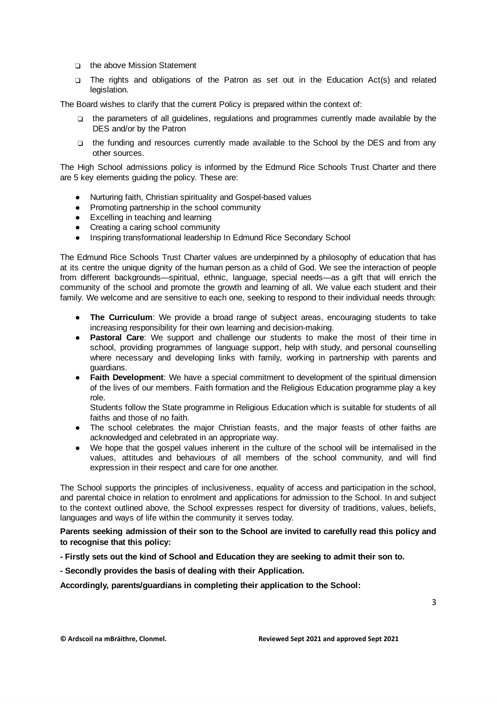- ❑ the above Mission Statement
- ❑ The rights and obligations of the Patron as set out in the Education Act(s) and related legislation.

The Board wishes to clarify that the current Policy is prepared within the context of:

- ❑ the parameters of all guidelines, regulations and programmes currently made available by the DES and/or by the Patron
- ❑ the funding and resources currently made available to the School by the DES and from any other sources.

The High School admissions policy is informed by the Edmund Rice Schools Trust Charter and there are 5 key elements guiding the policy. These are:

- Nurturing faith, Christian spirituality and Gospel-based values
- Promoting partnership in the school community
- Excelling in teaching and learning
- Creating a caring school community
- Inspiring transformational leadership In Edmund Rice Secondary School

The Edmund Rice Schools Trust Charter values are underpinned by a philosophy of education that has at its centre the unique dignity of the human person as a child of God. We see the interaction of people from different backgrounds—spiritual, ethnic, language, special needs—as a gift that will enrich the community of the school and promote the growth and learning of all. We value each student and their family. We welcome and are sensitive to each one, seeking to respond to their individual needs through:

- **The Curriculum**: We provide a broad range of subject areas, encouraging students to take increasing responsibility for their own learning and decision-making.
- **Pastoral Care**: We support and challenge our students to make the most of their time in school, providing programmes of language support, help with study, and personal counselling where necessary and developing links with family, working in partnership with parents and guardians.
- **Faith Development**: We have a special commitment to development of the spiritual dimension of the lives of our members. Faith formation and the Religious Education programme play a key role.

Students follow the State programme in Religious Education which is suitable for students of all faiths and those of no faith.

- The school celebrates the major Christian feasts, and the major feasts of other faiths are acknowledged and celebrated in an appropriate way.
- We hope that the gospel values inherent in the culture of the school will be internalised in the values, attitudes and behaviours of all members of the school community, and will find expression in their respect and care for one another.

The School supports the principles of inclusiveness, equality of access and participation in the school, and parental choice in relation to enrolment and applications for admission to the School. In and subject to the context outlined above, the School expresses respect for diversity of traditions, values, beliefs, languages and ways of life within the community it serves today.

**Parents seeking admission of their son to the School are invited to carefully read this policy and to recognise that this policy:**

**- Firstly sets out the kind of School and Education they are seeking to admit their son to.**

**- Secondly provides the basis of dealing with their Application.**

**Accordingly, parents/guardians in completing their application to the School:**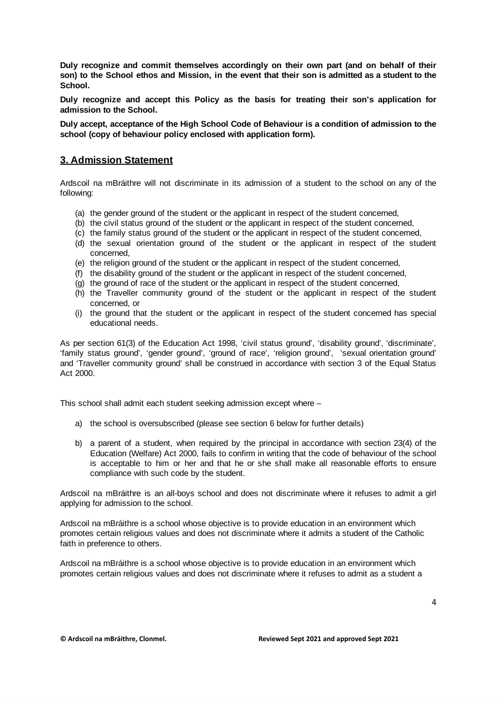**Duly recognize and commit themselves accordingly on their own part (and on behalf of their** son) to the School ethos and Mission, in the event that their son is admitted as a student to the **School.**

**Duly recognize and accept this Policy as the basis for treating their son's application for admission to the School.**

**Duly accept, acceptance of the High School Code of Behaviour is a condition of admission to the school (copy of behaviour policy enclosed with application form).**

### **3. Admission Statement**

Ardscoil na mBráithre will not discriminate in its admission of a student to the school on any of the following:

- (a) the gender ground of the student or the applicant in respect of the student concerned,
- (b) the civil status ground of the student or the applicant in respect of the student concerned,
- (c) the family status ground of the student or the applicant in respect of the student concerned,
- (d) the sexual orientation ground of the student or the applicant in respect of the student concerned,
- (e) the religion ground of the student or the applicant in respect of the student concerned,
- (f) the disability ground of the student or the applicant in respect of the student concerned,
- (g) the ground of race of the student or the applicant in respect of the student concerned,
- (h) the Traveller community ground of the student or the applicant in respect of the student concerned, or
- (i) the ground that the student or the applicant in respect of the student concerned has special educational needs.

As per section 61(3) of the Education Act 1998, 'civil status ground', 'disability ground', 'discriminate', 'family status ground', 'gender ground', 'ground of race', 'religion ground', 'sexual orientation ground' and 'Traveller community ground' shall be construed in accordance with section 3 of the Equal Status Act 2000.

This school shall admit each student seeking admission except where –

- a) the school is oversubscribed (please see section 6 below for further details)
- b) a parent of a student, when required by the principal in accordance with section 23(4) of the Education (Welfare) Act 2000, fails to confirm in writing that the code of behaviour of the school is acceptable to him or her and that he or she shall make all reasonable efforts to ensure compliance with such code by the student.

Ardscoil na mBráithre is an all-boys school and does not discriminate where it refuses to admit a girl applying for admission to the school.

Ardscoil na mBráithre is a school whose objective is to provide education in an environment which promotes certain religious values and does not discriminate where it admits a student of the Catholic faith in preference to others.

Ardscoil na mBráithre is a school whose objective is to provide education in an environment which promotes certain religious values and does not discriminate where it refuses to admit as a student a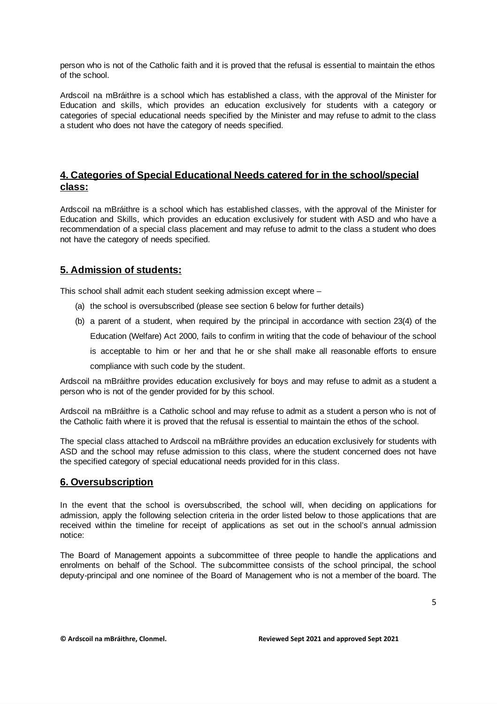person who is not of the Catholic faith and it is proved that the refusal is essential to maintain the ethos of the school.

Ardscoil na mBráithre is a school which has established a class, with the approval of the Minister for Education and skills, which provides an education exclusively for students with a category or categories of special educational needs specified by the Minister and may refuse to admit to the class a student who does not have the category of needs specified.

## **4. Categories of Special Educational Needs catered for in the school/special class:**

Ardscoil na mBráithre is a school which has established classes, with the approval of the Minister for Education and Skills, which provides an education exclusively for student with ASD and who have a recommendation of a special class placement and may refuse to admit to the class a student who does not have the category of needs specified.

## **5. Admission of students:**

This school shall admit each student seeking admission except where –

- (a) the school is oversubscribed (please see section 6 below for further details)
- (b) a parent of a student, when required by the principal in accordance with section 23(4) of the Education (Welfare) Act 2000, fails to confirm in writing that the code of behaviour of the school is acceptable to him or her and that he or she shall make all reasonable efforts to ensure

compliance with such code by the student.

Ardscoil na mBráithre provides education exclusively for boys and may refuse to admit as a student a person who is not of the gender provided for by this school.

Ardscoil na mBráithre is a Catholic school and may refuse to admit as a student a person who is not of the Catholic faith where it is proved that the refusal is essential to maintain the ethos of the school.

The special class attached to Ardscoil na mBráithre provides an education exclusively for students with ASD and the school may refuse admission to this class, where the student concerned does not have the specified category of special educational needs provided for in this class.

## **6. Oversubscription**

In the event that the school is oversubscribed, the school will, when deciding on applications for admission, apply the following selection criteria in the order listed below to those applications that are received within the timeline for receipt of applications as set out in the school's annual admission notice:

The Board of Management appoints a subcommittee of three people to handle the applications and enrolments on behalf of the School. The subcommittee consists of the school principal, the school deputy-principal and one nominee of the Board of Management who is not a member of the board. The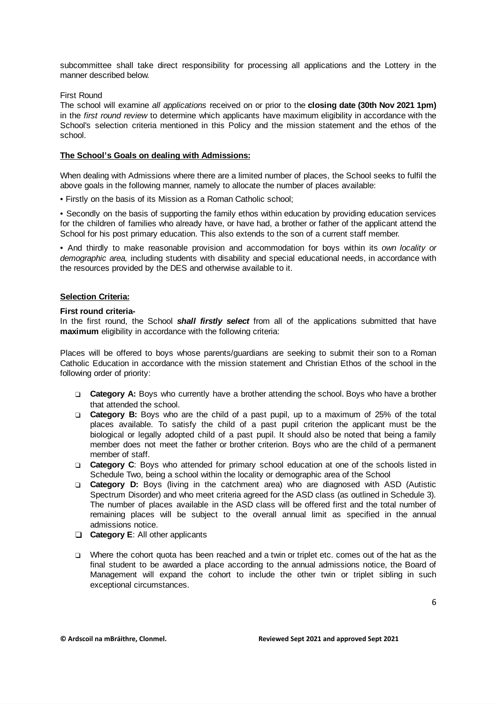subcommittee shall take direct responsibility for processing all applications and the Lottery in the manner described below.

#### First Round

The school will examine *all applications* received on or prior to the **closing date (30th Nov 2021 1pm)** in the *first round review* to determine which applicants have maximum eligibility in accordance with the School's selection criteria mentioned in this Policy and the mission statement and the ethos of the school.

#### **The School's Goals on dealing with Admissions:**

When dealing with Admissions where there are a limited number of places, the School seeks to fulfil the above goals in the following manner, namely to allocate the number of places available:

• Firstly on the basis of its Mission as a Roman Catholic school;

• Secondly on the basis of supporting the family ethos within education by providing education services for the children of families who already have, or have had, a brother or father of the applicant attend the School for his post primary education. This also extends to the son of a current staff member.

• And thirdly to make reasonable provision and accommodation for boys within its *own locality or demographic area,* including students with disability and special educational needs, in accordance with the resources provided by the DES and otherwise available to it.

#### **Selection Criteria:**

#### **First round criteria-**

In the first round, the School *shall firstly select* from all of the applications submitted that have **maximum** eligibility in accordance with the following criteria:

Places will be offered to boys whose parents/guardians are seeking to submit their son to a Roman Catholic Education in accordance with the mission statement and Christian Ethos of the school in the following order of priority:

- ❑ **Category A:** Boys who currently have a brother attending the school. Boys who have a brother that attended the school.
- ❑ **Category B:** Boys who are the child of a past pupil, up to a maximum of 25% of the total places available. To satisfy the child of a past pupil criterion the applicant must be the biological or legally adopted child of a past pupil. It should also be noted that being a family member does not meet the father or brother criterion. Boys who are the child of a permanent member of staff.
- ❑ **Category C**: Boys who attended for primary school education at one of the schools listed in Schedule Two, being a school within the locality or demographic area of the School
- ❑ **Category D:** Boys (living in the catchment area) who are diagnosed with ASD (Autistic Spectrum Disorder) and who meet criteria agreed for the ASD class (as outlined in Schedule 3). The number of places available in the ASD class will be offered first and the total number of remaining places will be subject to the overall annual limit as specified in the annual admissions notice.
- ❑ **Category E**: All other applicants
- ❑ Where the cohort quota has been reached and a twin or triplet etc. comes out of the hat as the final student to be awarded a place according to the annual admissions notice, the Board of Management will expand the cohort to include the other twin or triplet sibling in such exceptional circumstances.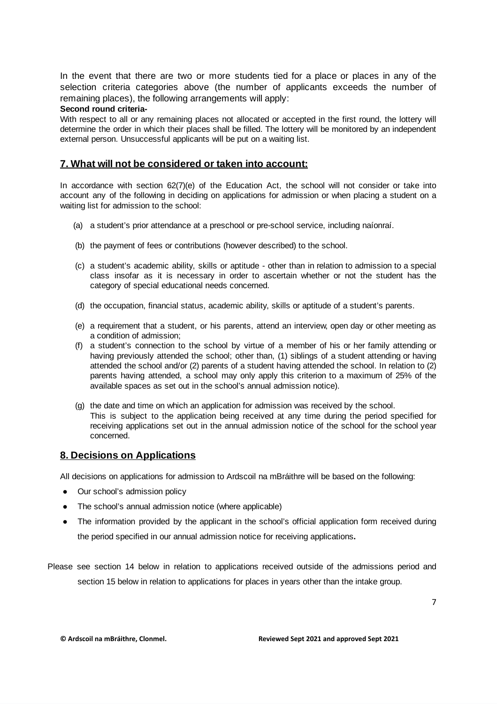In the event that there are two or more students tied for a place or places in any of the selection criteria categories above (the number of applicants exceeds the number of remaining places), the following arrangements will apply:

#### **Second round criteria-**

With respect to all or any remaining places not allocated or accepted in the first round, the lottery will determine the order in which their places shall be filled. The lottery will be monitored by an independent external person. Unsuccessful applicants will be put on a waiting list.

#### **7. What will not be considered or taken into account:**

In accordance with section 62(7)(e) of the Education Act, the school will not consider or take into account any of the following in deciding on applications for admission or when placing a student on a waiting list for admission to the school:

- (a) a student's prior attendance at a preschool or pre-school service, including naíonraí.
- (b) the payment of fees or contributions (however described) to the school.
- (c) a student's academic ability, skills or aptitude other than in relation to admission to a special class insofar as it is necessary in order to ascertain whether or not the student has the category of special educational needs concerned.
- (d) the occupation, financial status, academic ability, skills or aptitude of a student's parents.
- (e) a requirement that a student, or his parents, attend an interview, open day or other meeting as a condition of admission;
- (f) a student's connection to the school by virtue of a member of his or her family attending or having previously attended the school; other than, (1) siblings of a student attending or having attended the school and/or (2) parents of a student having attended the school. In relation to (2) parents having attended, a school may only apply this criterion to a maximum of 25% of the available spaces as set out in the school's annual admission notice).
- (g) the date and time on which an application for admission was received by the school. This is subject to the application being received at any time during the period specified for receiving applications set out in the annual admission notice of the school for the school year concerned.

### **8. Decisions on Applications**

All decisions on applications for admission to Ardscoil na mBráithre will be based on the following:

- **●** Our school's admission policy
- **●** The school's annual admission notice (where applicable)
- **●** The information provided by the applicant in the school's official application form received during the period specified in our annual admission notice for receiving applications**.**

Please see section 14 below in relation to applications received outside of the admissions period and section 15 below in relation to applications for places in years other than the intake group.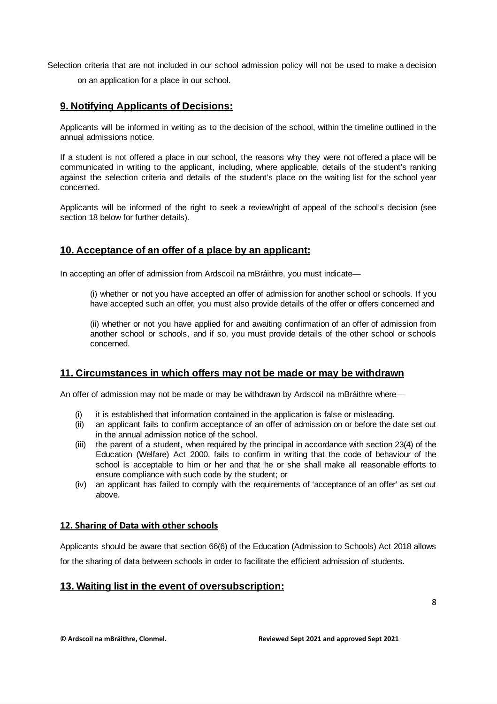Selection criteria that are not included in our school admission policy will not be used to make a decision

on an application for a place in our school.

## **9. Notifying Applicants of Decisions:**

Applicants will be informed in writing as to the decision of the school, within the timeline outlined in the annual admissions notice.

If a student is not offered a place in our school, the reasons why they were not offered a place will be communicated in writing to the applicant, including, where applicable, details of the student's ranking against the selection criteria and details of the student's place on the waiting list for the school year concerned.

Applicants will be informed of the right to seek a review/right of appeal of the school's decision (see section 18 below for further details).

## **10. Acceptance of an offer of a place by an applicant:**

In accepting an offer of admission from Ardscoil na mBráithre, you must indicate—

(i) whether or not you have accepted an offer of admission for another school or schools. If you have accepted such an offer, you must also provide details of the offer or offers concerned and

(ii) whether or not you have applied for and awaiting confirmation of an offer of admission from another school or schools, and if so, you must provide details of the other school or schools concerned.

### **11. Circumstances in which offers may not be made or may be withdrawn**

An offer of admission may not be made or may be withdrawn by Ardscoil na mBráithre where—

- (i) it is established that information contained in the application is false or misleading.
- (ii) an applicant fails to confirm acceptance of an offer of admission on or before the date set out in the annual admission notice of the school.
- (iii) the parent of a student, when required by the principal in accordance with section 23(4) of the Education (Welfare) Act 2000, fails to confirm in writing that the code of behaviour of the school is acceptable to him or her and that he or she shall make all reasonable efforts to ensure compliance with such code by the student; or
- (iv) an applicant has failed to comply with the requirements of 'acceptance of an offer' as set out above.

#### **12. Sharing of Data with other schools**

Applicants should be aware that section 66(6) of the Education (Admission to Schools) Act 2018 allows for the sharing of data between schools in order to facilitate the efficient admission of students.

### **13. Waiting list in the event of oversubscription:**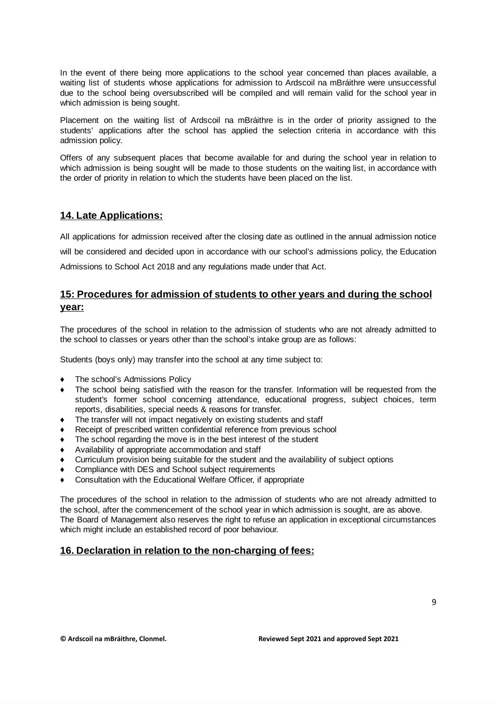In the event of there being more applications to the school year concerned than places available, a waiting list of students whose applications for admission to Ardscoil na mBráithre were unsuccessful due to the school being oversubscribed will be compiled and will remain valid for the school year in which admission is being sought.

Placement on the waiting list of Ardscoil na mBráithre is in the order of priority assigned to the students' applications after the school has applied the selection criteria in accordance with this admission policy.

Offers of any subsequent places that become available for and during the school year in relation to which admission is being sought will be made to those students on the waiting list, in accordance with the order of priority in relation to which the students have been placed on the list.

### **14. Late Applications:**

All applications for admission received after the closing date as outlined in the annual admission notice will be considered and decided upon in accordance with our school's admissions policy, the Education Admissions to School Act 2018 and any regulations made under that Act.

## **15: Procedures for admission of students to other years and during the school year:**

The procedures of the school in relation to the admission of students who are not already admitted to the school to classes or years other than the school's intake group are as follows:

Students (boys only) may transfer into the school at any time subject to:

- The school's Admissions Policy
- The school being satisfied with the reason for the transfer. Information will be requested from the student's former school concerning attendance, educational progress, subject choices, term reports, disabilities, special needs & reasons for transfer.
- The transfer will not impact negatively on existing students and staff
- Receipt of prescribed written confidential reference from previous school
- The school regarding the move is in the best interest of the student
- Availability of appropriate accommodation and staff
- Curriculum provision being suitable for the student and the availability of subject options
- Compliance with DES and School subject requirements
- Consultation with the Educational Welfare Officer, if appropriate

The procedures of the school in relation to the admission of students who are not already admitted to the school, after the commencement of the school year in which admission is sought, are as above. The Board of Management also reserves the right to refuse an application in exceptional circumstances which might include an established record of poor behaviour.

### **16. Declaration in relation to the non-charging of fees:**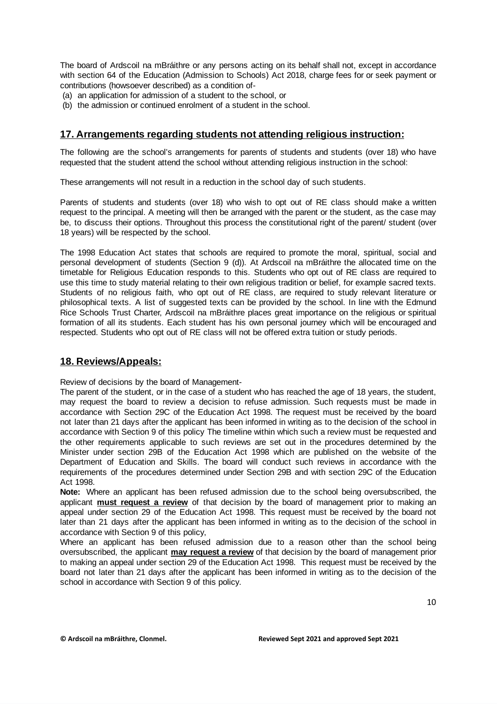The board of Ardscoil na mBráithre or any persons acting on its behalf shall not, except in accordance with section 64 of the Education (Admission to Schools) Act 2018, charge fees for or seek payment or contributions (howsoever described) as a condition of-

- (a) an application for admission of a student to the school, or
- (b) the admission or continued enrolment of a student in the school.

## **17. Arrangements regarding students not attending religious instruction:**

The following are the school's arrangements for parents of students and students (over 18) who have requested that the student attend the school without attending religious instruction in the school:

These arrangements will not result in a reduction in the school day of such students.

Parents of students and students (over 18) who wish to opt out of RE class should make a written request to the principal. A meeting will then be arranged with the parent or the student, as the case may be, to discuss their options. Throughout this process the constitutional right of the parent/ student (over 18 years) will be respected by the school.

The 1998 Education Act states that schools are required to promote the moral, spiritual, social and personal development of students (Section 9 (d)). At Ardscoil na mBráithre the allocated time on the timetable for Religious Education responds to this. Students who opt out of RE class are required to use this time to study material relating to their own religious tradition or belief, for example sacred texts. Students of no religious faith, who opt out of RE class, are required to study relevant literature or philosophical texts. A list of suggested texts can be provided by the school. In line with the Edmund Rice Schools Trust Charter, Ardscoil na mBráithre places great importance on the religious or spiritual formation of all its students. Each student has his own personal journey which will be encouraged and respected. Students who opt out of RE class will not be offered extra tuition or study periods.

### **18. Reviews/Appeals:**

Review of decisions by the board of Management-

The parent of the student, or in the case of a student who has reached the age of 18 years, the student, may request the board to review a decision to refuse admission. Such requests must be made in accordance with Section 29C of the Education Act 1998. The request must be received by the board not later than 21 days after the applicant has been informed in writing as to the decision of the school in accordance with Section 9 of this policy The timeline within which such a review must be requested and the other requirements applicable to such reviews are set out in the procedures determined by the Minister under section 29B of the Education Act 1998 which are published on the website of the Department of Education and Skills. The board will conduct such reviews in accordance with the requirements of the procedures determined under Section 29B and with section 29C of the Education Act 1998.

**Note:** Where an applicant has been refused admission due to the school being oversubscribed, the applicant **must request a review** of that decision by the board of management prior to making an appeal under section 29 of the Education Act 1998. This request must be received by the board not later than 21 days after the applicant has been informed in writing as to the decision of the school in accordance with Section 9 of this policy,

Where an applicant has been refused admission due to a reason other than the school being oversubscribed, the applicant **may request a review** of that decision by the board of management prior to making an appeal under section 29 of the Education Act 1998. This request must be received by the board not later than 21 days after the applicant has been informed in writing as to the decision of the school in accordance with Section 9 of this policy.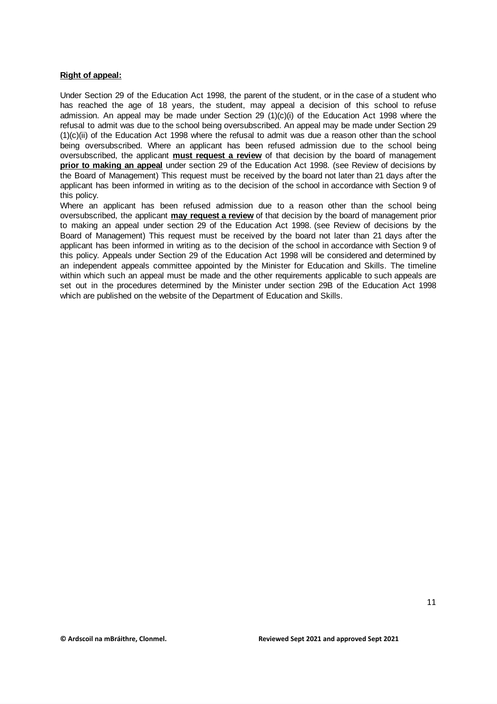#### **Right of appeal:**

Under Section 29 of the Education Act 1998, the parent of the student, or in the case of a student who has reached the age of 18 years, the student, may appeal a decision of this school to refuse admission. An appeal may be made under Section 29 (1)(c)(i) of the Education Act 1998 where the refusal to admit was due to the school being oversubscribed. An appeal may be made under Section 29 (1)(c)(ii) of the Education Act 1998 where the refusal to admit was due a reason other than the school being oversubscribed. Where an applicant has been refused admission due to the school being oversubscribed, the applicant **must request a review** of that decision by the board of management **prior to making an appeal** under section 29 of the Education Act 1998. (see Review of decisions by the Board of Management) This request must be received by the board not later than 21 days after the applicant has been informed in writing as to the decision of the school in accordance with Section 9 of this policy.

Where an applicant has been refused admission due to a reason other than the school being oversubscribed, the applicant **may request a review** of that decision by the board of management prior to making an appeal under section 29 of the Education Act 1998. (see Review of decisions by the Board of Management) This request must be received by the board not later than 21 days after the applicant has been informed in writing as to the decision of the school in accordance with Section 9 of this policy. Appeals under Section 29 of the Education Act 1998 will be considered and determined by an independent appeals committee appointed by the Minister for Education and Skills. The timeline within which such an appeal must be made and the other requirements applicable to such appeals are set out in the procedures determined by the Minister under section 29B of the Education Act 1998 which are published on the website of the Department of Education and Skills.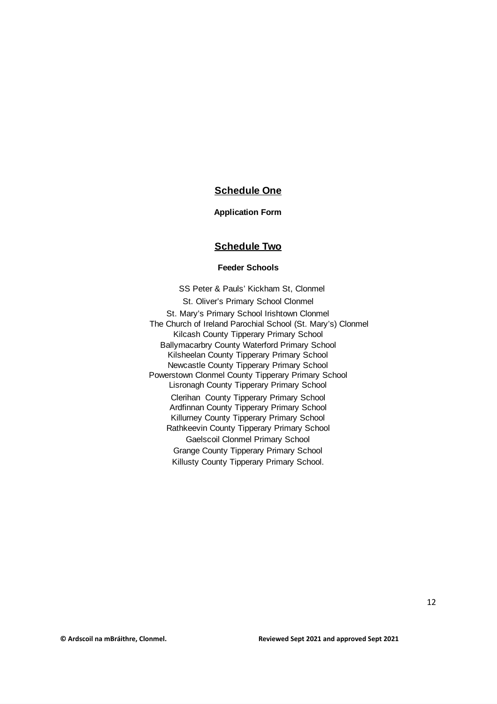## **Schedule One**

#### **Application Form**

#### **Schedule Two**

#### **Feeder Schools**

SS Peter & Pauls' Kickham St, Clonmel St. Oliver's Primary School Clonmel St. Mary's Primary School Irishtown Clonmel The Church of Ireland Parochial School (St. Mary's) Clonmel Kilcash County Tipperary Primary School Ballymacarbry County Waterford Primary School Kilsheelan County Tipperary Primary School Newcastle County Tipperary Primary School Powerstown Clonmel County Tipperary Primary School Lisronagh County Tipperary Primary School Clerihan County Tipperary Primary School Ardfinnan County Tipperary Primary School Killurney County Tipperary Primary School Rathkeevin County Tipperary Primary School Gaelscoil Clonmel Primary School Grange County Tipperary Primary School Killusty County Tipperary Primary School.